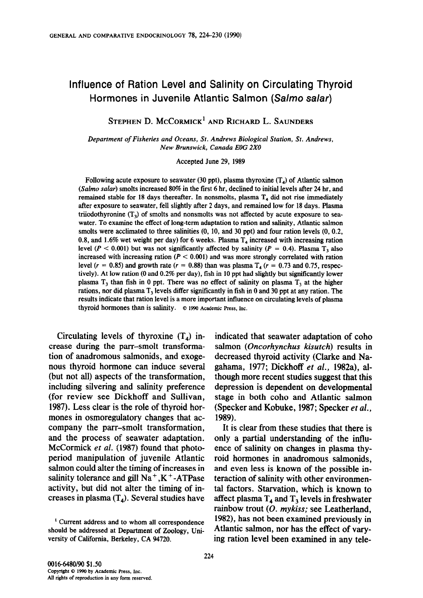# Influence of Ration Level and Salinity on Circulating Thyroid Hormones in Juvenile Atlantic Salmon (Salmo salar)

STEPHEN D. MCCORMICK<sup>1</sup> AND RICHARD L. SAUNDERS

Department of Fisheries and Oceans, St. Andrews Biological Station, St. Andrews, New Brunswick, Canada EOG 2X0

Accepted June 29, 1989

Following acute exposure to seawater (30 ppt), plasma thyroxine  $(T<sub>a</sub>)$  of Atlantic salmon (Salmo salar) smolts increased 80% in the first 6 hr, declined to initial levels after 24 hr, and remained stable for 18 days thereafter. In nonsmolts, plasma  $T<sub>4</sub>$  did not rise immediately after exposure to seawater, fell slightly after 2 days, and remained low for 18 days. Plasma triiodothyronine  $(T_3)$  of smolts and nonsmolts was not affected by acute exposure to seawater. To examine the effect of long-term adaptation to ration and salinity, Atlantic salmon which is community the check of four displacient to factor and samily, families samily  $\frac{1}{2}$  and 1.6 were accommode to three summars  $\frac{1}{2}$ ,  $\frac{1}{2}$ ,  $\frac{1}{2}$ ,  $\frac{1}{2}$ ,  $\frac{1}{2}$ 0.8, and 1.6% wet weight per day) for 6 weeks. Plasma  $T<sub>4</sub>$  increased with increasing ration level ( $P < 0.001$ ) but was not significantly affected by salinity ( $P = 0.4$ ). Plasma T<sub>3</sub> also increased with increasing ration ( $P < 0.001$ ) and was more strongly correlated with ration level ( $r = 0.85$ ) and growth rate ( $r = 0.88$ ) than was plasma  $T<sub>4</sub>$  ( $r = 0.73$  and 0.75, respectively). At low ration (0 and 0.2% per day), fish in 10 ppt had slightly but significantly lower plasma  $T_3$  than fish in 0 ppt. There was no effect of salinity on plasma  $T_3$  at the higher rations, nor did plasma  $T_3$  levels differ significantly in fish in 0 and 30 ppt at any ration. The results indicate that ration level is a more important influence on circulating levels of plasma thyroid hormones than is salinity. © 1990 Academic Press, Inc.

Circulating levels of thyroxine (T4) incirculating levels of ingroxine  $(1_4)$  is crease during the parr-smolt transformation of anadromous salmonids, and exogenous thyroid hormone can induce several (but not all) aspects of the transformation, including silvering and salinity preference (for review see Dickhoff and Sullivan, 1987). Less clear is the role of thyroid hormones in osmoregulatory changes that accompany the parr-smolt transformation. and the process of seawater adaptation. McCormick et al. (1987) found that photoperiod manipulation of juvenile Atlantic salmon could alter the timing of increases in salinity tolerance and gill  $Na<sup>+</sup>$ . K<sup>+</sup>-ATPase activity, but did not alter the timing of increases in plasma  $(T_4)$ . Several studies have

indicated that seawater adaptation of coho salmon (Oncorhynchus kisutch) results in decreased thyroid activity (Clarke and Nagahama, 1977; Dickhoff et al., 1982a), although more recent studies suggest that this depression is dependent on developmental stage in both coho and Atlantic salmon (Specker and Kobuke, 1987; Specker et al.,  $89$ ).

It is clear from these studies that there is only a partial understanding of the influence of salinity on changes in plasma thyroid hormones in anadromous salmonids. and even less is known of the possible interaction of salinity with other environmental factors. Starvation, which is known to affect plasma  $T_4$  and  $T_3$  levels in freshwater rainbow trout  $(O.$  mykiss; see Leatherland, 1982), has not been examined previously in Atlantic salmon, nor has the effect of vary-

 $1$  Current address and to whom all correspondence should be addressed at Department of Zoology, University of California, Berkeley, CA 94720.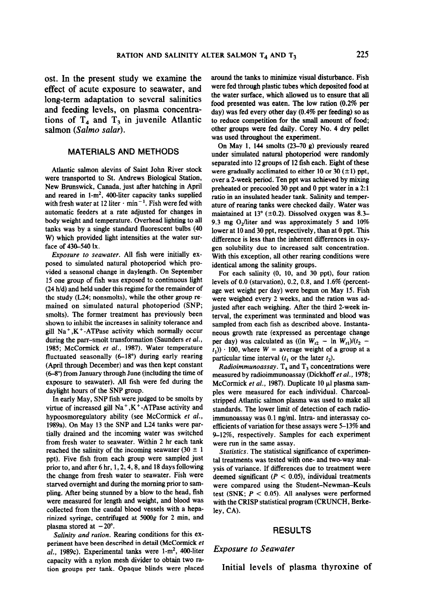effect of acute exposure to seawater, and were fed through plastic tubes which deposited food at long-term adaptation to several salinities the water surface, which allowed us to ensure that all  $\frac{1}{2}$ and feeding levels, on plasma concentrations of  $T_4$  and  $T_3$  in juvenile Atlantic to reduce competition for the small amount of food;

# MATERIALS AND METHODS

Atlantic salmon alevins of Saint John River stock were transported to St. Andrews Biological Station, New Brunswick, Canada, just after hatching in April and reared in  $1-m^2$ , 400-liter capacity tanks supplied with fresh water at 12 liter  $\cdot$  min<sup>-1</sup>. Fish were fed with automatic feeders at a rate adjusted for changes in body weight and temperature. Overhead lighting to all tanks was by a single standard fluorescent bulbs (48 Which was one of provided light intensities at the water sur- difference is less than the inherent difference is less than the intensities in  $\mathbf{w}$ W) which provided light intensities at the water surface of 430–540 lx.  $\frac{1}{2}$ 

 $L$ *posure to scumulate*. The fight were initially which proposed to simulated natural photoperiod which provided a seasonal change in daylength. On September 15 one group of fish was exposed to continuous light  $(24 h/d)$  and held under this regime for the remainder of the study (L24; nonsmolts), while the other group remained on simulated natural photoperiod (SNP; smolts). The former treatment has previously been shown to inhibit the increases in salinity tolerance and gill Na<sup>+</sup>,K<sup>+</sup>-ATPase activity which normally occur during the parr-smolt transformation (Saunders et al., 1985; McCormick et al., 1987). Water temperature fluctuated seasonally  $(6-18^{\circ})$  during early rearing (April through December) and was then kept constant  $(6-8^{\circ})$  from January through June (including the time of exposure to seawater). All fish were fed during the daylight hours of the SNP group.

In early May, SNP fish were judged to be smolts by virtue of increased gill Na<sup>+</sup>,K<sup>+</sup>-ATPase activity and standards. The lower limit of detection of each radiohypoosmoregulatory ability (see McCormick et al., immunoassay was 0.1 ng/ml. Intra- and interassay co-1989a). On May 13 the SNP and L24 tanks were partially drained and the incoming water was switched. from fresh water to seawater. Within 2 hr each tank were run in the same assay. reached the salinity of the incoming seawater (30  $\pm$  1 Statistics. The statistical significance of experimenppt). Five fish from each group were sampled just prior to, and after  $6 \text{ hr}$ ,  $1, 2, 4, 8$ , and  $18 \text{ days}$  following. the change from fresh water to seawater. Fish were deemed significant  $(P < 0.05)$ , individual treatments starved overnight and during the morning prior to sam-<br>were compared using the Student-Newman-Keuls pling. After being stunned by a blow to the head, fish test (SNK;  $P < 0.05$ ). All analyses were performed were measured for length and weight, and blood was collected from the caudal blood vessels with a heparinized syringe, centrifuged at 5000g for 2 min, and plasma stored at  $-20^\circ$ .

periment described in detail (McCormick et al., 1989).<br>
Salinity and ration. Rearing conditions for this ex-<br>
Suppose the SU dl., 1989c). Experimental tanks were  $1-m^2$ , 400-liter Exposure to Seawater<br>al., 1989c). Experimental tanks were  $1-m^2$ , 400-liter Exposure to Seawater tion groups per tank. Opaque blinds were placed

ost. In the present study we examine the around the tanks to minimize visual disturbance. Fish food presented was eaten. The low ration (0.2% per day) was fed every other day (0.4% per feeding) so as salmon (Salmo salar). The same other groups were fed daily. Corey No. 4 dry pellet was used throughout the experiment.

> On May 1, 144 smolts (23-70 g) previously reared under simulated natural photoperiod were randomly separated into 12 groups of 12 fish each. Eight of these were gradually acclimated to either 10 or 30  $(\pm 1)$  ppt, over a Zweek period. Ten ppt was achieved by mixing preheated or precooled 30 ppt and 0 ppt water in a 2: 1 ratio in an insulated header tank. Salinity and temperature of rearing tanks were checked daily. Water was maintained at 13 $^{\circ}$  (±0.2). Dissolved oxygen was 8.3-9.3 mg  $O_2$ /liter and was approximately 5 and 10%  $\frac{1}{2}$ . The  $\frac{1}{2}$  problems was approximately, than at 10% difference is less than the inherent differences in oxygen solubility due to increased salt concentration. With this exception, all other rearing conditions were identical among the salinity groups.

> For each salinity  $(0, 10,$  and  $30$  ppt), four ration levels of  $0.0$  (starvation),  $0.2$ ,  $0.8$ , and  $1.6\%$  (percentage wet weight per day) were begun on May 15. Fish were weighed every 2 weeks, and the ration was adjusted after each weighing. After the third 2-week interval, the experiment was terminated and blood was sampled from each fish as described above. Instantaneous growth rate (expressed as percentage change per day) was calculated as  $(\ln W_{t2} - \ln W_{t1})/(t_2 (t<sub>1</sub>)$ ) · 100, where  $W =$  average weight of a group at a particular time interval  $(t_1$  or the later  $t_2$ ).

> *Radioimmunoassay*.  $T<sub>4</sub>$  and  $T<sub>3</sub>$  concentrations were measured by radioimmunoassay (Dickhoff et al., 1978; McCormick et al., 1987). Duplicate 10  $\mu$ l plasma samples were measured for each individual. Charcoalstripped Atlantic salmon plasma was used to make all efficients of variation for these assays were  $5-13\%$  and 9-12%, respectively. Samples for each experiment

> tal treatments was tested with one- and two-way analysis of variance. If differences due to treatment were with the CRISP statistical program (CRUNCH, Berke $lev, CA$ ).

#### **RESULTS**

Initial levels of plasma thyroxine of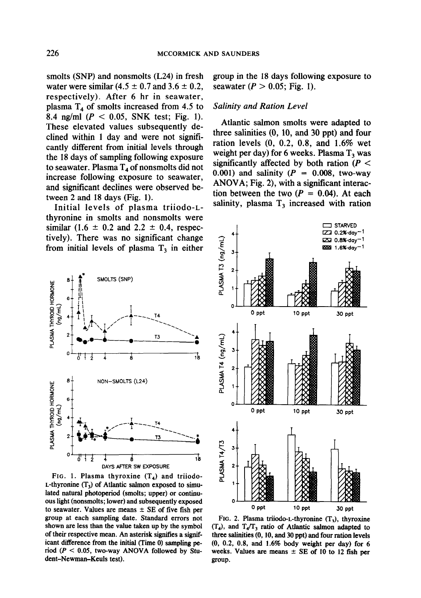smolts (SNP) and nonsmolts (L24) in fresh water were similar  $(4.5 \pm 0.7 \text{ and } 3.6 \pm 0.2)$ , respectively). After 6 hr in seawater, plasma  $T_4$  of smolts increased from 4.5 to 8.4 ng/ml ( $P < 0.05$ , SNK test; Fig. 1). These elevated values subsequently declined within 1 day and were not significantly different from initial levels through the 18 days of sampling following exposure to seawater. Plasma  $T_4$  of nonsmolts did not increase following exposure to seawater, and significant declines were observed between 2 and 18 days (Fig. 1).

Initial levels of plasma triiodo-Lthyronine in smolts and nonsmolts were similar (1.6  $\pm$  0.2 and 2.2  $\pm$  0.4, respectively). There was no significant change from initial levels of plasma  $T<sub>3</sub>$  in either



FIG. 1. Plasma thyroxine  $(T_4)$  and triiodo-L-thyronine  $(T_3)$  of Atlantic salmon exposed to simulated natural photoperiod (smolts; upper) or continuous light (nonsmolts; lower) and subsequently exposed to seawater. Values are means  $\pm$  SE of five fish per group at each sampling date. Standard errors not shown are less than the value taken up by the symbol of their respective mean. An asterisk signifies a significant difference from the initial (Time 0) sampling period ( $P < 0.05$ , two-way ANOVA followed by Student-Newman-Keuls test).

group in the 18 days following exposure to seawater ( $P > 0.05$ ; Fig. 1).

### Salinity and Ration Level

Atlantic salmon smolts were adapted to three salinities (0, 10, and 30 ppt) and four ration levels (0, 0.2, 0.8, and 1.6% wet weight per day) for 6 weeks. Plasma  $T_3$  was significantly affected by both ration ( $P <$ 0.001) and salinity ( $P = 0.008$ , two-way ANOVA; Fig. 2), with a significant interaction between the two  $(P = 0.04)$ . At each salinity, plasma  $T_3$  increased with ration



FIG. 2. Plasma triiodo-L-thyronine  $(T_3)$ , thyroxine  $(T<sub>4</sub>)$ , and  $T<sub>4</sub>/T<sub>3</sub>$  ratio of Atlantic salmon adapted to three salinities (0, 10, and 30 ppt) and four ration levels (0, 0.2, 0.8, and 1.6% body weight per day) for 6 weeks. Values are means  $\pm$  SE of 10 to 12 fish per group.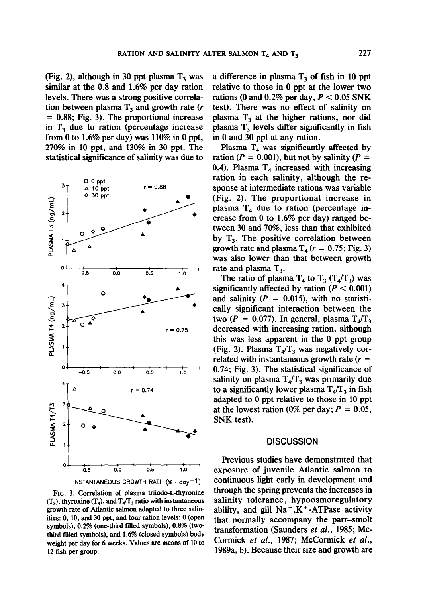(Fig. 2), although in 30 ppt plasma  $T_3$  was similar at the 0.8 and 1.6% per day ration levels. There was a strong positive correlation between plasma  $T_3$  and growth rate (r = 0.88; Fig. 3). The proportional increase in  $T_3$  due to ration (percentage increase from 0 to 1.6% per day) was  $110\%$  in 0 ppt, 270% in 10 ppt, and 130% in 30 ppt. The statistical significance of salinity was due to



FIG. 3. Correlation of plasma triiodo-L-thyronine  $(T_3)$ , thyroxine  $(T_4)$ , and  $T_4/T_3$  ratio with instantaneous growth rate of Atlantic salmon adapted to three salinities: 0, 10, and 30 ppt, and four ration levels: 0 (open symbols), 0.2% (one-third filed symbols), 0.8% (twothird filled symbols), and 1.6% (closed symbols) body weight per day for 6 weeks. Values are means of 10 to 12 fish per group.

a difference in plasma  $T_3$  of fish in 10 ppt relative to those in 0 ppt at the lower two rations (0 and 0.2% per day,  $P < 0.05$  SNK test). There was no effect of salinity on plasma  $T_3$  at the higher rations, nor did plasma  $T_3$  levels differ significantly in fish in 0 and 30 ppt at any ration.

Plasma  $T_4$  was significantly affected by ration ( $P = 0.001$ ), but not by salinity ( $P =$ 0.4). Plasma  $T_4$  increased with increasing ration in each salinity, although the response at intermediate rations was variable (Fig. 2). The proportional increase in plasma  $T_4$  due to ration (percentage increase from 0 to 1.6% per day) ranged between 30 and 70%, less than that exhibited by  $T_3$ . The positive correlation between growth rate and plasma  $T_4$  ( $r = 0.75$ ; Fig. 3) was also lower than that between growth rate and plasma T,.

The ratio of plasma  $T_4$  to  $T_3$  ( $T_4/T_3$ ) was significantly affected by ration  $(P < 0.001)$ and salinity ( $P = 0.015$ ), with no statistically significant interaction between the two ( $P = 0.077$ ). In general, plasma  $T_4/T_3$ decreased with increasing ration, although this was less apparent in the 0 ppt group (Fig. 2). Plasma  $T_4/T_3$  was negatively correlated with instantaneous growth rate  $(r =$ 0.74; Fig. 3). The statistical significance of salinity on plasma  $T_4/T_3$  was primarily due to a significantly lower plasma  $T_4/T_3$  in fish adapted to 0 ppt relative to those in 10 ppt at the lowest ration (0% per day;  $P = 0.05$ , SNK test).

#### **DISCUSSION**

Previous studies have demonstrated that exposure of juvenile Atlantic salmon to continuous light early in development and through the spring prevents the increases in salinity tolerance, hypoosmoregulatory ability, and gill  $Na^+, K^+$ -ATPase activity that normally accompany the parr-smolt transformation (Saunders et al., 1985; Mc-Cormick et al., 1987; McCormick et al., 1989a, b). Because their size and growth are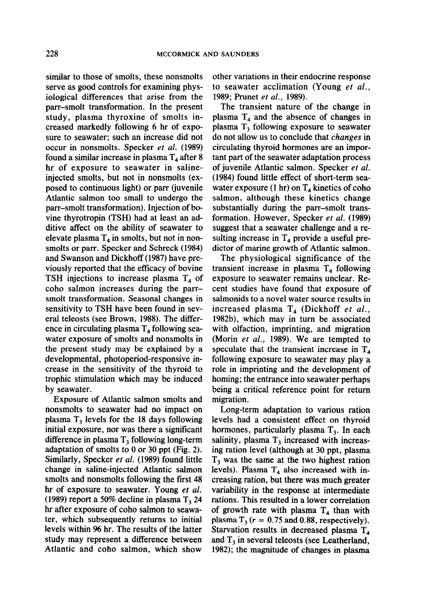similar to those of smolts, these nonsmolts serve as good controls for examining physiological differences that arise from the parr-smolt transformation. In the present study, plasma thyroxine of smolts increased markedly following 6 hr of exposure to seawater; such an increase did not occur in nonsmolts. Specker et al. (1989) found a similar increase in plasma  $T<sub>4</sub>$  after 8 hr of exposure to seawater in salineinjected smolts, but not in nonsmolts (exposed to continuous light) or parr (juvenile Atlantic salmon too small to undergo the parr-smolt transformation). Injection of bovine thyrotropin (TSH) had at least an additive affect on the ability of seawater to elevate plasma  $T_4$  in smolts, but not in nonsmolts or parr. Specker and Schreck (1984) and Swanson and Dickhoff (1987) have previously reported that the efficacy of bovine TSH injections to increase plasma  $T_4$  of coho salmon increases during the parrsmelt transformation. Seasonal changes in sensitivity to TSH have been found in several teleosts (see Brown, 1988). The difference in circulating plasma  $T_4$  following seawater exposure of smolts and nonsmolts in the present study may be explained by a developmental, photoperiod-responsive increase in the sensitivity of the thyroid to trophic stimulation which may be induced by seawater.

Exposure of Atlantic salmon smolts and nonsmolts to seawater had no impact on plasma T, levels for the 18 days following initial exposure, nor was there a significant difference in plasma  $T_3$  following long-term adaptation of smolts to 0 or 30 ppt (Fig. 2). Similarly, Specker et al. (1989) found little change in saline-injected Atlantic salmon smolts and nonsmolts following the first 48 hr of exposure to seawater. Young et al. (1989) report a 50% decline in plasma  $T_3$  24 hr after exposure of coho salmon to seawater, which subsequently returns to initial levels within 96 hr. The results of the latter study may represent a difference between Atlantic and coho salmon, which show

other variations in their endocrine response to seawater acclimation (Young et al., 1989; Prunet et al., 1989).

The transient nature of the change in plasma  $T_4$  and the absence of changes in plasma  $T<sub>3</sub>$  following exposure to seawater do not allow us to conclude that changes in circulating thyroid hormones are an important part of the seawater adaptation process of juvenile Atlantic salmon. Specker et al. (1984) found little effect of short-term seawater exposure (1 hr) on  $T_4$  kinetics of coho salmon, although these kinetics change substantially during the parr-smolt transformation. However, Specker et al. (1989) suggest that a seawater challenge and a resulting increase in  $T_4$  provide a useful predictor of marine growth of Atlantic salmon.

The physiological significance of the transient increase in plasma  $T<sub>4</sub>$  following exposure to seawater remains unclear. Recent studies have found that exposure of salmonids to a novel water source results in increased plasma  $T_4$  (Dickhoff et al., 1982b), which may in turn be associated with olfaction, imprinting, and migration (Morin et al., 1989). We are tempted to speculate that the transient increase in  $T_4$ following exposure to seawater may play a role in imprinting and the development of homing; the entrance into seawater perhaps being a critical reference point for return migration.

Long-term adaptation to various ration levels had a consistent effect on thyroid hormones, particularly plasma  $T_3$ . In each salinity, plasma  $T_3$  increased with increasing ration level (although at 30 ppt, plasma  $T<sub>3</sub>$  was the same at the two highest ration levels). Plasma  $T_4$  also increased with increasing ration, but there was much greater variability in the response at intermediate rations. This resulted in a lower correlation of growth rate with plasma  $T_4$  than with plasma  $T_3$  ( $r = 0.75$  and 0.88, respectively). Starvation results in decreased plasma  $T<sub>4</sub>$ and  $T_3$  in several teleosts (see Leatherland, 1982); the magnitude of changes in plasma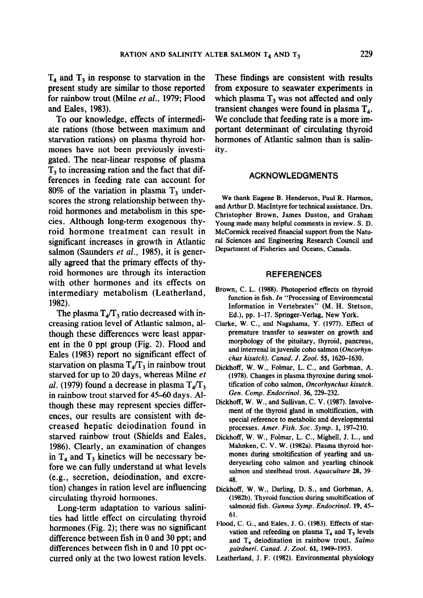$T_4$  and  $T_3$  in response to starvation in the present study are similar to those reported for rainbow trout (Milne et al., 1979; Flood and Eales, 1983).

To our knowledge, effects of intermediate rations (those between maximum and starvation rations) on plasma thyroid hormones have not been previously investigated. The near-linear response of plasma  $T<sub>3</sub>$  to increasing ration and the fact that differences in feeding rate can account for 80% of the variation in plasma T, underscores the strong relationship between thyroid hormones and metabolism in this species. Although long-term exogenous thyroid hormone treatment can result in significant increases in growth in a structure in a structure in Atlantic structure in Atlantic structure in Atlantic structure in Atlantic structure in Atlantic structure in Atlantic structure in Atlantic structure in Atl  $\frac{1}{2}$ significant increases in growth in Truanders salmon (Saunders  $et al., 1985$ ), it is generally agreed that the primary effects of thyroid hormones are through its interaction with other hormones and its effects on intermediary metabolism (Leatherland, 1982).  $\delta$ 2).

The plasma  $r_{4}/r_{3}$  ratio decreased with  $m_{2}$ creasing ration level of Atlantic salmon, although these differences were least apparent in the  $0$  ppt group (Fig. 2). Flood and Eales (1983) report no significant effect of starvation on plasma  $T_{4}/T_{3}$  in rainbow trout starved for up to 20 days, whereas Milne et al. (1979) found a decrease in plasma  $T_{4}/T_{3}$ . in rainbow trout starved for 45-60 days. Although these may represent species differences, our results are consistent with decreased hepatic deiodination found in starved rainbow trout (Shields and Eales, 1986). Clearly, an examination of changes in  $T<sub>4</sub>$  and  $T<sub>3</sub>$  kinetics will be necessary before we can fully understand at what levels (e.g., secretion, deiodination, and excretion) changes in ration level are influencing circulating thyroid hormones.

Long-term adaptation to various salinities had little effect on circulating thyroid hormones (Fig. 2); there was no significant difference between fish in  $0$  and  $30$  ppt; and differences between fish in 0 and 10 ppt occurred only at the two lowest ration levels.

These findings are consistent with results from exposure to seawater experiments in which plasma  $T_3$  was not affected and only transient changes were found in plasma  $T<sub>4</sub>$ . We conclude that feeding rate is a more important determinant of circulating thyroid hormones of Atlantic salmon than is salinity.

## ACKNOWLEDGMENTS

We thank Eugene B. Henderson, Paul R. Harmon, and Arthur D. MacIntyre for technical assistance. Drs. Ghr Thulu D. Machityle for technical assistance. Dis Christopher Drown, James Duston, and Cranam Young made many helpful comments in review. S. D. McCormick received financial support from the Natural Sciences and Engineering Research Council and<br>Department of Fisheries and Oceans, Canada.

#### **REFERENCES**

- Brown, C. L. (1988). Photoperiod effects on thyroid function in fish. In "Processing of Environmental Information in Vertebrates" (M. H. Stetson, Ed.), pp. 1-17. Springer-Verlag, New York.
- Clarke, W. C., and Nagahama, Y. (1977). Effect of premature transfer to seawater on growth and morphology of the pituitary, thyroid, pancreas, and interrenal in juvenile coho salmon (Oncorhynchus kisutch). Canad. J. Zool. 55, 1620-1630.
- Dickhoff, W. W., Folmar, L. C., and Gorbman, A.  $(1978)$ . Changes in plasma thyroxine during smoltification of coho salmon, Oncorhynchus kisutch. Gen. Comp. Endocrinol. 36, 229-232.
- Dickhoff, W. W., and Sullivan, C. V. (1987). Involvement of the thyroid gland in smoltification, with special reference to metabolic and developmental processes, Amer. Fish, Soc. Symp. 1, 197-210.
- Dickhoff, W. W., Folmar, L. C., Mighell, J. L., and Mahnken, C. V. W. (1982a). Plasma thyroid hormones during smoltification of yearling and underyearling coho salmon and yearling chinook salmon and steelhead trout. Aquaculture 28, 39- $\overline{A}$
- Dickhoff, W. W., Darling, D. S., and Gorbman, A. (1982b). Thyroid function during smoltification of salmonid fish. Gunma Symp. Endocrinol. 19, 45- $\epsilon_1$ 61.<br>Flood, C. G., and Eales, J. G. (1983). Effects of star-
- vation and refeeding on plasma  $T<sub>4</sub>$  and  $T<sub>3</sub>$  levels and  $T<sub>4</sub>$  deiodination in rainbow trout, Salmo gairdneri. Canad. J. Zool. 61, 1949-1953.

Leatherland, J. F. (1982). Environmental physiology